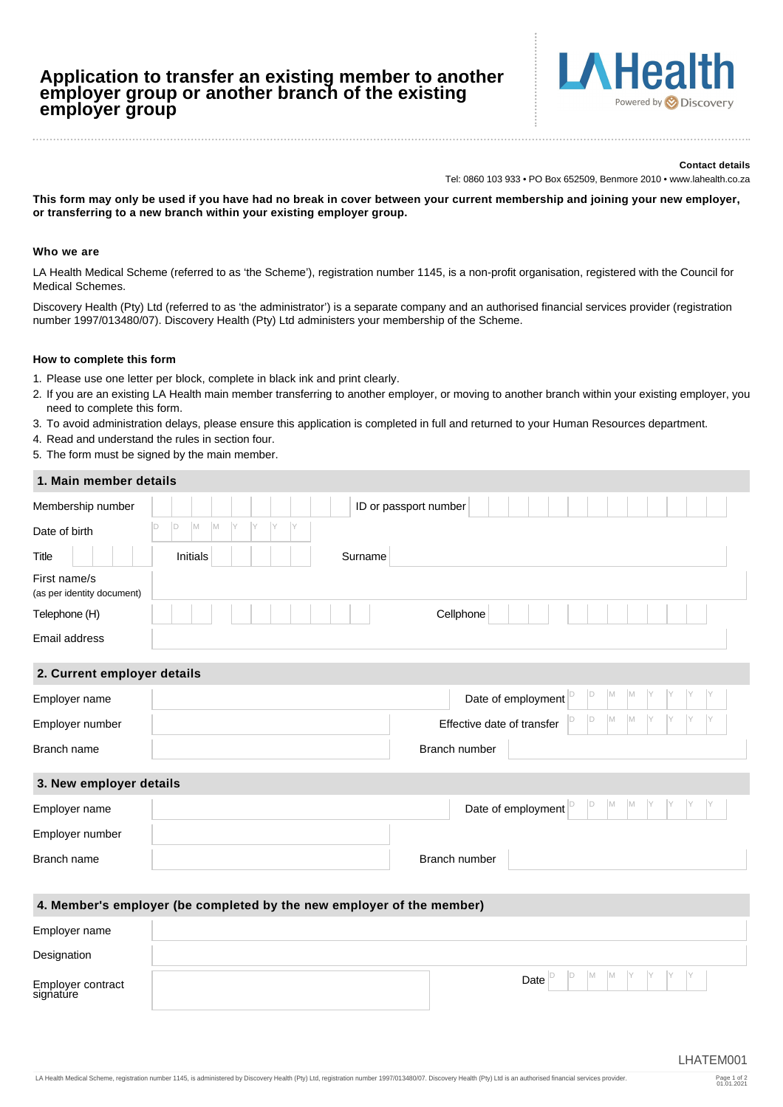# **Application to transfer an existing member to another employer group or another branch of the existing employer group**



#### **Contact details**

Tel: 0860 103 933 • PO Box 652509, Benmore 2010 • www.lahealth.co.za

**This form may only be used if you have had no break in cover between your current membership and joining your new employer, or transferring to a new branch within your existing employer group.**

### **Who we are**

LA Health Medical Scheme (referred to as 'the Scheme'), registration number 1145, is a non-profit organisation, registered with the Council for Medical Schemes.

Discovery Health (Pty) Ltd (referred to as 'the administrator') is a separate company and an authorised financial services provider (registration number 1997/013480/07). Discovery Health (Pty) Ltd administers your membership of the Scheme.

#### **How to complete this form**

Employer contract signature

- 1. Please use one letter per block, complete in black ink and print clearly.
- 2. If you are an existing LA Health main member transferring to another employer, or moving to another branch within your existing employer, you need to complete this form.
- 3. To avoid administration delays, please ensure this application is completed in full and returned to your Human Resources department.
- 4. Read and understand the rules in section four.
- 5. The form must be signed by the main member.

| 1. Main member details                     |                                                                       |
|--------------------------------------------|-----------------------------------------------------------------------|
| Membership number                          | ID or passport number                                                 |
| Date of birth                              | D<br>M<br>M<br>$\Box$                                                 |
| <b>Title</b>                               | Initials<br>Surname                                                   |
| First name/s<br>(as per identity document) |                                                                       |
| Telephone (H)                              | Cellphone                                                             |
| Email address                              |                                                                       |
| 2. Current employer details                |                                                                       |
| Employer name                              | M<br>D<br> M<br>Date of employment $ ^{D}$                            |
| Employer number                            | M<br>M<br>ID<br>Effective date of transfer                            |
| Branch name                                | Branch number                                                         |
| 3. New employer details                    |                                                                       |
| Employer name                              | M<br>M<br>D<br>Date of employment $ ^{D}$                             |
| Employer number                            |                                                                       |
| Branch name                                | Branch number                                                         |
|                                            |                                                                       |
|                                            | 4. Member's employer (be completed by the new employer of the member) |
| Employer name                              |                                                                       |
| Designation                                |                                                                       |

**Date** 

D D M M Y Y Y Y